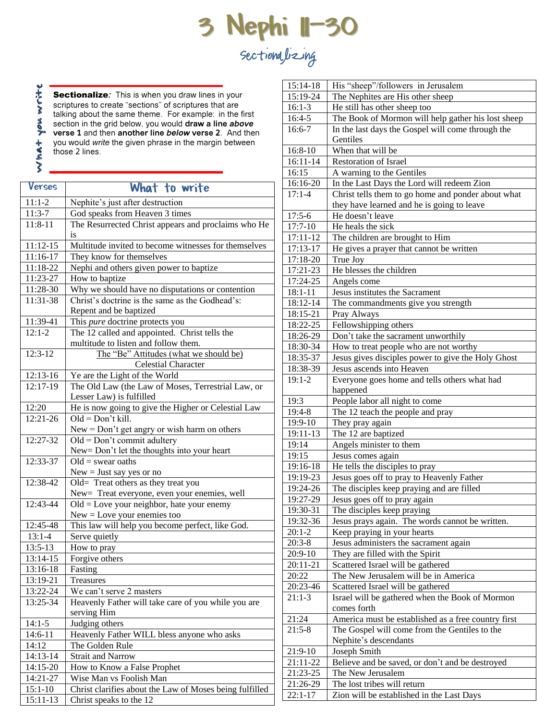## **3 Nephi 11-30** Sectionalizing

write Sectionalize*:* This is when you draw lines in your scriptures to create "sections" of scriptures that are talking about the same theme. For example: in the first Mon section in the grid below, you would **draw a line** *above* **verse 1** and then **another line** *below* **verse 2**. And then you would *write* the given phrase in the margin between  $MMA +$ those 2 lines.

Verses What to write 11:1-2 Nephite's just after destruction 11:3-7 God speaks from Heaven 3 times 11:8-11 The Resurrected Christ appears and proclaims who He is 11:12-15 Multitude invited to become witnesses for themselves<br>11:16-17 They know for themselves They know for themselves 11:18-22 Nephi and others given power to baptize<br>11:23-27 How to baptize How to baptize 11:28-30 Why we should have no disputations or contention<br>11:31-38 Christ's doctrine is the same as the Godhead's: Christ's doctrine is the same as the Godhead's: Repent and be baptized 11:39-41 This *pure* doctrine protects you 12:1-2 The 12 called and appointed. Christ tells the multitude to listen and follow them. 12:3-12 The "Be" Attitudes (what we should be) Celestial Character 12:13-16 Ye are the Light of the World 12:17-19 The Old Law (the Law of Moses, Terrestrial Law, or Lesser Law) is fulfilled 12:20 He is now going to give the Higher or Celestial Law 12:21-26  $\Box$  Old = Don't kill. New = Don't get angry or wish harm on others 12:27-32  $\Box$  Old = Don't commit adultery New= Don't let the thoughts into your heart  $12:33-37$  Old = swear oaths  $New = Just$  say yes or no 12:38-42 Old= Treat others as they treat you New= Treat everyone, even your enemies, well 12:43-44  $\Box$  Old = Love your neighbor, hate your enemy New = Love your enemies too 12:45-48 This law will help you become perfect, like God. 13:1-4 Serve quietly 13:5-13 How to pray 13:14-15 Forgive others 13:16-18 Fasting 13:19-21 Treasures<br>13:22-24 We can't s We can't serve 2 masters 13:25-34 Heavenly Father will take care of you while you are serving Him 14:1-5 Judging others 14:6-11 Heavenly Father WILL bless anyone who asks 14:12 The Golden Rule 14:13-14 Strait and Narrow 14:15-20 How to Know a False Prophet 14:21-27 Wise Man vs Foolish Man 15:1-10 Christ clarifies about the Law of Moses being fulfilled

15:11-13 Christ speaks to the 12

| 15:14-18             | His "sheep"/followers in Jerusalem                                   |
|----------------------|----------------------------------------------------------------------|
| 15:19-24             | The Nephites are His other sheep                                     |
| $16:1-3$             | He still has other sheep too                                         |
| $16:4-5$             | The Book of Mormon will help gather his lost sheep                   |
| $16:6-7$             | In the last days the Gospel will come through the                    |
|                      | Gentiles                                                             |
| $16:8-10$            | When that will be                                                    |
| 16:11-14             | <b>Restoration of Israel</b>                                         |
| 16:15                | A warning to the Gentiles                                            |
| 16:16-20             | In the Last Days the Lord will redeem Zion                           |
| $17:1 - 4$           | Christ tells them to go home and ponder about what                   |
|                      | they have learned and he is going to leave                           |
| $17:5-6$             | He doesn't leave                                                     |
| $17:7 - 10$          | He heals the sick                                                    |
| 17:11-12             | The children are brought to Him                                      |
| 17:13-17             | He gives a prayer that cannot be written                             |
| 17:18-20             | True Joy                                                             |
| 17:21-23             | He blesses the children                                              |
| 17:24-25             | Angels come                                                          |
| $18:1 - 11$          | Jesus institutes the Sacrament                                       |
| 18:12-14             | The commandments give you strength                                   |
| 18:15-21             | Pray Always                                                          |
| 18:22-25             | Fellowshipping others                                                |
| 18:26-29             | Don't take the sacrament unworthily                                  |
| 18:30-34             | How to treat people who are not worthy                               |
| 18:35-37             | Jesus gives disciples power to give the Holy Ghost                   |
| 18:38-39             | Jesus ascends into Heaven                                            |
| $19:1-2$             | Everyone goes home and tells others what had                         |
| 19:3                 | happened<br>People labor all night to come                           |
| 19:4-8               | The 12 teach the people and pray                                     |
| 19:9-10              | They pray again                                                      |
| 19:11-13             | The 12 are baptized                                                  |
| 19:14                | Angels minister to them                                              |
| 19:15                | Jesus comes again                                                    |
| 19:16-18             | He tells the disciples to pray                                       |
| 19:19-23             | Jesus goes off to pray to Heavenly Father                            |
| 19:24-26             | The disciples keep praying and are filled                            |
| 19:27-29             | Jesus goes off to pray again                                         |
| 19:30-31             | The disciples keep praying                                           |
| 19:32-36             | Jesus prays again. The words cannot be written.                      |
| $20:1-2$             | Keep praying in your hearts                                          |
| $20:3-8$             | Jesus administers the sacrament again                                |
| 20:9-10              | They are filled with the Spirit                                      |
| 20:11-21             | Scattered Israel will be gathered                                    |
| 20:22                | The New Jerusalem will be in America                                 |
| 20:23-46             | Scattered Israel will be gathered                                    |
| $21:1-3$             | Israel will be gathered when the Book of Mormon                      |
|                      | comes forth                                                          |
| 21:24                | America must be established as a free country first                  |
| $21:5-8$             | The Gospel will come from the Gentiles to the                        |
|                      | Nephite's descendants                                                |
| 21:9-10              | Joseph Smith                                                         |
| 21:11-22             | Believe and be saved, or don't and be destroyed<br>The New Jerusalem |
| 21:23-25<br>21:26-29 | The lost tribes will return                                          |
| $22:1 - 17$          | Zion will be established in the Last Days                            |
|                      |                                                                      |